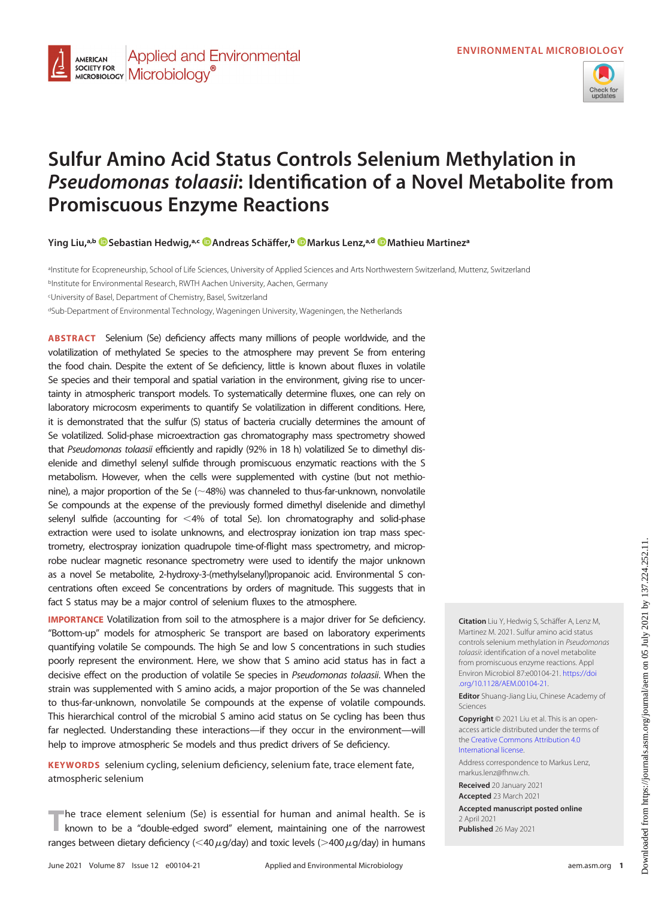

# Sulfur Amino Acid Status Controls Selenium Methylation in Pseudomonas tolaasii: Identification of a Novel Metabolite from Promiscuous Enzyme Reactions

Ying Liu,<sup>a,b</sup> © [Sebastian Hedwig,](https://orcid.org/0000-0002-7061-3596)<sup>a,c</sup> © [Andreas Schäffer](https://orcid.org/0000-0002-4110-2631),<sup>b</sup> © [Markus Lenz,](https://orcid.org/0000-0001-6832-3218)<sup>a,d</sup> © Mathieu Martinezª

aInstitute for Ecopreneurship, School of Life Sciences, University of Applied Sciences and Arts Northwestern Switzerland, Muttenz, Switzerland bInstitute for Environmental Research, RWTH Aachen University, Aachen, Germany c University of Basel, Department of Chemistry, Basel, Switzerland

dSub-Department of Environmental Technology, Wageningen University, Wageningen, the Netherlands

**Applied and Environmental** 

**AMERICAN SOCIETY FOR** 

SOCIETY FOR MICrobiology<sup>®</sup>

ABSTRACT Selenium (Se) deficiency affects many millions of people worldwide, and the volatilization of methylated Se species to the atmosphere may prevent Se from entering the food chain. Despite the extent of Se deficiency, little is known about fluxes in volatile Se species and their temporal and spatial variation in the environment, giving rise to uncertainty in atmospheric transport models. To systematically determine fluxes, one can rely on laboratory microcosm experiments to quantify Se volatilization in different conditions. Here, it is demonstrated that the sulfur (S) status of bacteria crucially determines the amount of Se volatilized. Solid-phase microextraction gas chromatography mass spectrometry showed that Pseudomonas tolaasii efficiently and rapidly (92% in 18 h) volatilized Se to dimethyl diselenide and dimethyl selenyl sulfide through promiscuous enzymatic reactions with the S metabolism. However, when the cells were supplemented with cystine (but not methionine), a major proportion of the Se ( $\sim$ 48%) was channeled to thus-far-unknown, nonvolatile Se compounds at the expense of the previously formed dimethyl diselenide and dimethyl selenyl sulfide (accounting for  $<$  4% of total Se). Ion chromatography and solid-phase extraction were used to isolate unknowns, and electrospray ionization ion trap mass spectrometry, electrospray ionization quadrupole time-of-flight mass spectrometry, and microprobe nuclear magnetic resonance spectrometry were used to identify the major unknown as a novel Se metabolite, 2-hydroxy-3-(methylselanyl)propanoic acid. Environmental S concentrations often exceed Se concentrations by orders of magnitude. This suggests that in fact S status may be a major control of selenium fluxes to the atmosphere.

**IMPORTANCE** Volatilization from soil to the atmosphere is a major driver for Se deficiency. "Bottom-up" models for atmospheric Se transport are based on laboratory experiments quantifying volatile Se compounds. The high Se and low S concentrations in such studies poorly represent the environment. Here, we show that S amino acid status has in fact a decisive effect on the production of volatile Se species in Pseudomonas tolaasii. When the strain was supplemented with S amino acids, a major proportion of the Se was channeled to thus-far-unknown, nonvolatile Se compounds at the expense of volatile compounds. This hierarchical control of the microbial S amino acid status on Se cycling has been thus far neglected. Understanding these interactions—if they occur in the environment—will help to improve atmospheric Se models and thus predict drivers of Se deficiency.

KEYWORDS selenium cycling, selenium deficiency, selenium fate, trace element fate, atmospheric selenium

The trace element selenium (Se) is essential for human and animal health. Se is known to be a "double-edged sword" element, maintaining one of the narrowest ranges between dietary deficiency ( $<$ 40 $\mu$ g/day) and toxic levels (>400 $\mu$ g/day) in humans Citation Liu Y, Hedwig S, Schäffer A, Lenz M, Martinez M. 2021. Sulfur amino acid status controls selenium methylation in Pseudomonas tolaasii: identification of a novel metabolite from promiscuous enzyme reactions. Appl Environ Microbiol 87:e00104-21. [https://doi](https://doi.org/10.1128/AEM.00104-21) [.org/10.1128/AEM.00104-21](https://doi.org/10.1128/AEM.00104-21).

Editor Shuang-Jiang Liu, Chinese Academy of Sciences

Copyright © 2021 Liu et al. This is an openaccess article distributed under the terms of the [Creative Commons Attribution 4.0](https://creativecommons.org/licenses/by/4.0/) [International license](https://creativecommons.org/licenses/by/4.0/).

Address correspondence to Markus Lenz, markus.lenz@fhnw.ch.

Received 20 January 2021 Accepted 23 March 2021

Accepted manuscript posted online 2 April 2021

Published 26 May 2021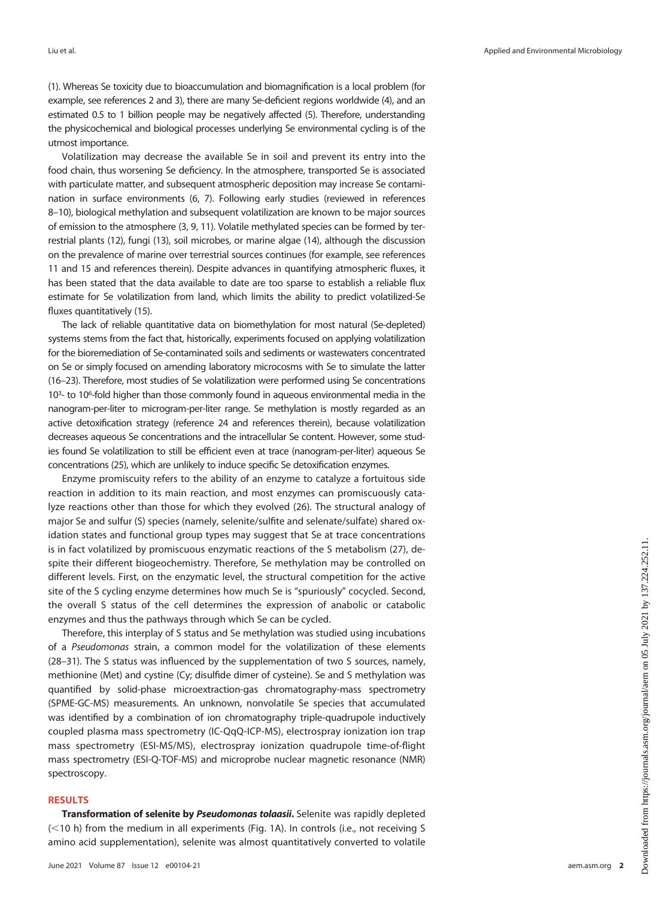[\(1\)](#page-8-0). Whereas Se toxicity due to bioaccumulation and biomagnification is a local problem (for example, see references [2](#page-8-1) and [3\)](#page-8-2), there are many Se-deficient regions worldwide [\(4\)](#page-8-3), and an estimated 0.5 to 1 billion people may be negatively affected [\(5\)](#page-9-0). Therefore, understanding the physicochemical and biological processes underlying Se environmental cycling is of the utmost importance.

Volatilization may decrease the available Se in soil and prevent its entry into the food chain, thus worsening Se deficiency. In the atmosphere, transported Se is associated with particulate matter, and subsequent atmospheric deposition may increase Se contamination in surface environments ([6](#page-9-1), [7\)](#page-9-2). Following early studies (reviewed in references [8](#page-9-3)[–](#page-9-4)[10\)](#page-9-5), biological methylation and subsequent volatilization are known to be major sources of emission to the atmosphere [\(3,](#page-8-2) [9,](#page-9-4) [11\)](#page-9-6). Volatile methylated species can be formed by terrestrial plants [\(12](#page-9-7)), fungi [\(13\)](#page-9-8), soil microbes, or marine algae [\(14](#page-9-9)), although the discussion on the prevalence of marine over terrestrial sources continues (for example, see references [11](#page-9-6) and [15](#page-9-10) and references therein). Despite advances in quantifying atmospheric fluxes, it has been stated that the data available to date are too sparse to establish a reliable flux estimate for Se volatilization from land, which limits the ability to predict volatilized-Se fluxes quantitatively ([15](#page-9-10)).

The lack of reliable quantitative data on biomethylation for most natural (Se-depleted) systems stems from the fact that, historically, experiments focused on applying volatilization for the bioremediation of Se-contaminated soils and sediments or wastewaters concentrated on Se or simply focused on amending laboratory microcosms with Se to simulate the latter [\(16](#page-9-11)–[23\)](#page-9-12). Therefore, most studies of Se volatilization were performed using Se concentrations 10<sup>3</sup>- to 10<sup>6</sup>-fold higher than those commonly found in aqueous environmental media in the nanogram-per-liter to microgram-per-liter range. Se methylation is mostly regarded as an active detoxification strategy (reference [24](#page-9-13) and references therein), because volatilization decreases aqueous Se concentrations and the intracellular Se content. However, some studies found Se volatilization to still be efficient even at trace (nanogram-per-liter) aqueous Se concentrations [\(25\)](#page-9-14), which are unlikely to induce specific Se detoxification enzymes.

Enzyme promiscuity refers to the ability of an enzyme to catalyze a fortuitous side reaction in addition to its main reaction, and most enzymes can promiscuously catalyze reactions other than those for which they evolved [\(26\)](#page-9-15). The structural analogy of major Se and sulfur (S) species (namely, selenite/sulfite and selenate/sulfate) shared oxidation states and functional group types may suggest that Se at trace concentrations is in fact volatilized by promiscuous enzymatic reactions of the S metabolism [\(27](#page-9-16)), despite their different biogeochemistry. Therefore, Se methylation may be controlled on different levels. First, on the enzymatic level, the structural competition for the active site of the S cycling enzyme determines how much Se is "spuriously" cocycled. Second, the overall S status of the cell determines the expression of anabolic or catabolic enzymes and thus the pathways through which Se can be cycled.

Therefore, this interplay of S status and Se methylation was studied using incubations of a Pseudomonas strain, a common model for the volatilization of these elements [\(28](#page-9-17)–[31](#page-9-18)). The S status was influenced by the supplementation of two S sources, namely, methionine (Met) and cystine (Cy; disulfide dimer of cysteine). Se and S methylation was quantified by solid-phase microextraction-gas chromatography-mass spectrometry (SPME-GC-MS) measurements. An unknown, nonvolatile Se species that accumulated was identified by a combination of ion chromatography triple-quadrupole inductively coupled plasma mass spectrometry (IC-QqQ-ICP-MS), electrospray ionization ion trap mass spectrometry (ESI-MS/MS), electrospray ionization quadrupole time-of-flight mass spectrometry (ESI-Q-TOF-MS) and microprobe nuclear magnetic resonance (NMR) spectroscopy.

#### RESULTS

Transformation of selenite by Pseudomonas tolaasii. Selenite was rapidly depleted  $(<10 h)$  from the medium in all experiments ([Fig. 1A](#page-2-0)). In controls (i.e., not receiving S amino acid supplementation), selenite was almost quantitatively converted to volatile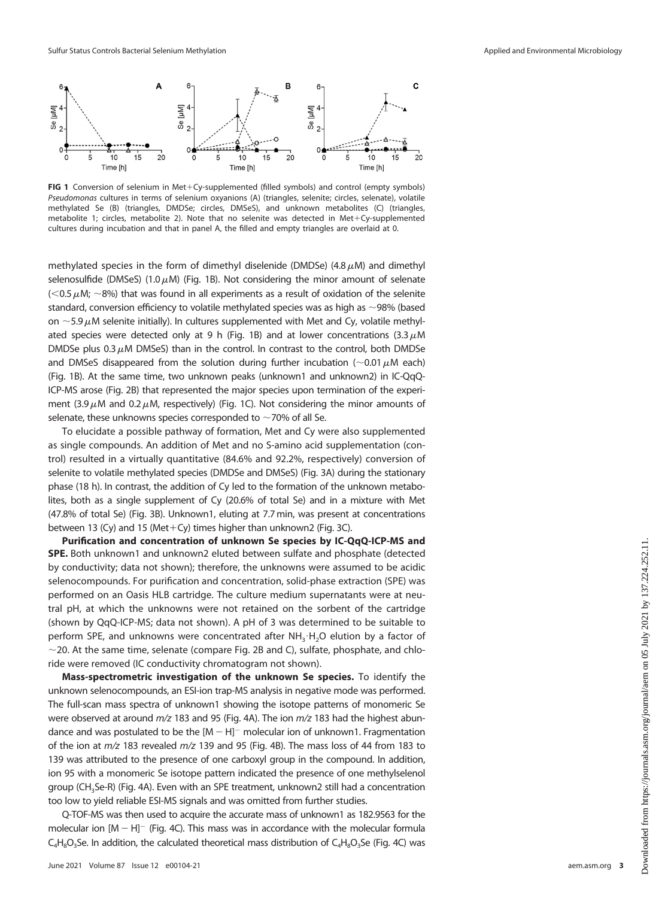

<span id="page-2-0"></span>FIG 1 Conversion of selenium in Met+Cy-supplemented (filled symbols) and control (empty symbols) Pseudomonas cultures in terms of selenium oxyanions (A) (triangles, selenite; circles, selenate), volatile methylated Se (B) (triangles, DMDSe; circles, DMSeS), and unknown metabolites (C) (triangles, metabolite 1; circles, metabolite 2). Note that no selenite was detected in Met+Cy-supplemented cultures during incubation and that in panel A, the filled and empty triangles are overlaid at 0.

methylated species in the form of dimethyl diselenide (DMDSe) (4.8  $\mu$ M) and dimethyl selenosulfide (DMSeS) (1.0 $\mu$ M) [\(Fig. 1B\)](#page-2-0). Not considering the minor amount of selenate  $(<$  0.5  $\mu$ M;  $\sim$  8%) that was found in all experiments as a result of oxidation of the selenite standard, conversion efficiency to volatile methylated species was as high as  $\sim$ 98% (based on  $\sim$  5.9  $\mu$ M selenite initially). In cultures supplemented with Met and Cy, volatile methyl-ated species were detected only at 9 h [\(Fig. 1B](#page-2-0)) and at lower concentrations  $(3.3 \mu M)$ DMDSe plus 0.3  $\mu$ M DMSeS) than in the control. In contrast to the control, both DMDSe and DMSeS disappeared from the solution during further incubation ( $\sim$ 0.01  $\mu$ M each) [\(Fig. 1B](#page-2-0)). At the same time, two unknown peaks (unknown1 and unknown2) in IC-QqQ-ICP-MS arose ([Fig. 2B\)](#page-3-0) that represented the major species upon termination of the experiment (3.9  $\mu$ M and 0.2  $\mu$ M, respectively) [\(Fig. 1C\)](#page-2-0). Not considering the minor amounts of selenate, these unknowns species corresponded to  $\sim$ 70% of all Se.

To elucidate a possible pathway of formation, Met and Cy were also supplemented as single compounds. An addition of Met and no S-amino acid supplementation (control) resulted in a virtually quantitative (84.6% and 92.2%, respectively) conversion of selenite to volatile methylated species (DMDSe and DMSeS) ([Fig. 3A](#page-3-1)) during the stationary phase (18 h). In contrast, the addition of Cy led to the formation of the unknown metabolites, both as a single supplement of Cy (20.6% of total Se) and in a mixture with Met (47.8% of total Se) [\(Fig. 3B\)](#page-3-1). Unknown1, eluting at 7.7 min, was present at concentrations between 13 (Cy) and 15 (Met+Cy) times higher than unknown2 ([Fig. 3C](#page-3-1)).

Purification and concentration of unknown Se species by IC-QqQ-ICP-MS and SPE. Both unknown1 and unknown2 eluted between sulfate and phosphate (detected by conductivity; data not shown); therefore, the unknowns were assumed to be acidic selenocompounds. For purification and concentration, solid-phase extraction (SPE) was performed on an Oasis HLB cartridge. The culture medium supernatants were at neutral pH, at which the unknowns were not retained on the sorbent of the cartridge (shown by QqQ-ICP-MS; data not shown). A pH of 3 was determined to be suitable to perform SPE, and unknowns were concentrated after  $NH<sub>3</sub>·H<sub>2</sub>O$  elution by a factor of  $\sim$ 20. At the same time, selenate (compare [Fig. 2B](#page-3-0) and [C](#page-3-0)), sulfate, phosphate, and chloride were removed (IC conductivity chromatogram not shown).

Mass-spectrometric investigation of the unknown Se species. To identify the unknown selenocompounds, an ESI-ion trap-MS analysis in negative mode was performed. The full-scan mass spectra of unknown1 showing the isotope patterns of monomeric Se were observed at around  $m/z$  183 and 95 [\(Fig. 4A](#page-4-0)). The ion  $m/z$  183 had the highest abundance and was postulated to be the  $[M - H]$ <sup>-</sup> molecular ion of unknown1. Fragmentation of the ion at  $m/z$  183 revealed  $m/z$  139 and 95 [\(Fig. 4B\)](#page-4-0). The mass loss of 44 from 183 to 139 was attributed to the presence of one carboxyl group in the compound. In addition, ion 95 with a monomeric Se isotope pattern indicated the presence of one methylselenol group (CH3Se-R) [\(Fig. 4A](#page-4-0)). Even with an SPE treatment, unknown2 still had a concentration too low to yield reliable ESI-MS signals and was omitted from further studies.

Q-TOF-MS was then used to acquire the accurate mass of unknown1 as 182.9563 for the molecular ion  $[M-H]$ <sup>-</sup> [\(Fig. 4C](#page-4-0)). This mass was in accordance with the molecular formula  $C_4H_8O_3$ Se. In addition, the calculated theoretical mass distribution of  $C_4H_8O_3$ Se ([Fig. 4C](#page-4-0)) was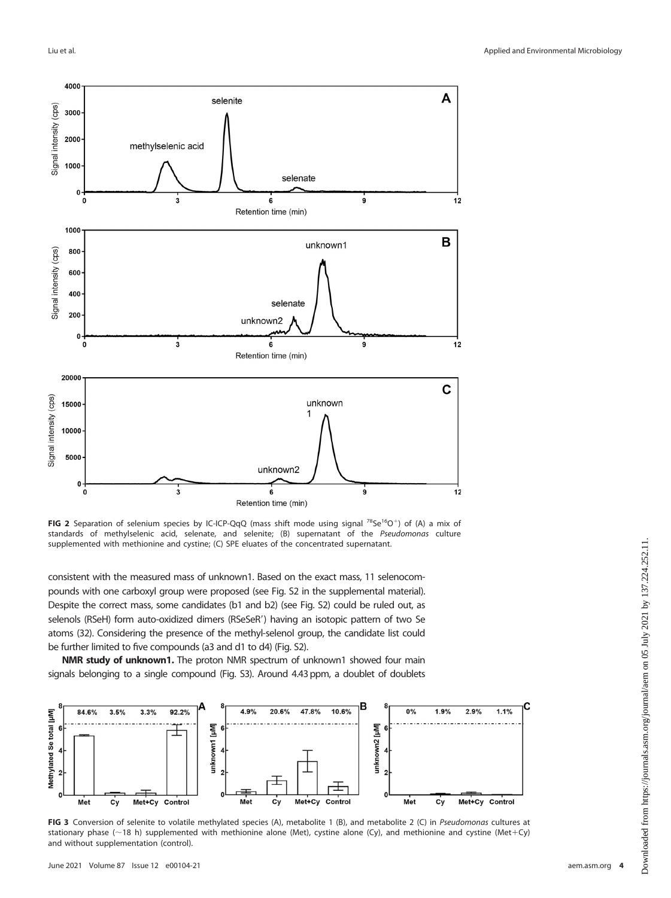

<span id="page-3-0"></span>FIG 2 Separation of selenium species by IC-ICP-QqQ (mass shift mode using signal  $^{78}Se^{16}O^+$ ) of (A) a mix of standards of methylselenic acid, selenate, and selenite; (B) supernatant of the Pseudomonas culture supplemented with methionine and cystine; (C) SPE eluates of the concentrated supernatant.

consistent with the measured mass of unknown1. Based on the exact mass, 11 selenocompounds with one carboxyl group were proposed (see Fig. S2 in the supplemental material). Despite the correct mass, some candidates (b1 and b2) (see Fig. S2) could be ruled out, as selenols (RSeH) form auto-oxidized dimers (RSeSeR') having an isotopic pattern of two Se atoms [\(32\)](#page-9-19). Considering the presence of the methyl-selenol group, the candidate list could be further limited to five compounds (a3 and d1 to d4) (Fig. S2).

NMR study of unknown1. The proton NMR spectrum of unknown1 showed four main signals belonging to a single compound (Fig. S3). Around 4.43 ppm, a doublet of doublets



<span id="page-3-1"></span>FIG 3 Conversion of selenite to volatile methylated species (A), metabolite 1 (B), and metabolite 2 (C) in Pseudomonas cultures at stationary phase ( $\sim$ 18 h) supplemented with methionine alone (Met), cystine alone (Cy), and methionine and cystine (Met+Cy) and without supplementation (control).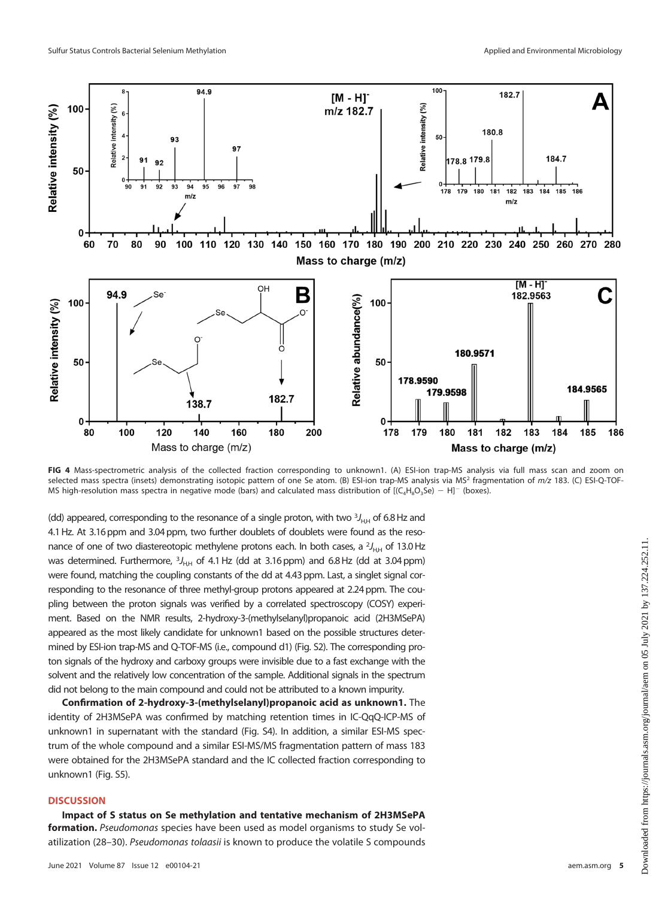

<span id="page-4-0"></span>FIG 4 Mass-spectrometric analysis of the collected fraction corresponding to unknown1. (A) ESI-ion trap-MS analysis via full mass scan and zoom on selected mass spectra (insets) demonstrating isotopic pattern of one Se atom. (B) ESI-ion trap-MS analysis via MS<sup>2</sup> fragmentation of  $m/z$  183. (C) ESI-Q-TOF-MS high-resolution mass spectra in negative mode (bars) and calculated mass distribution of  $[(C_4H_8O_3Se) - H]^T$  (boxes).

(dd) appeared, corresponding to the resonance of a single proton, with two  $^3J_{\rm HH}$  of 6.8 Hz and 4.1Hz. At 3.16 ppm and 3.04 ppm, two further doublets of doublets were found as the resonance of one of two diastereotopic methylene protons each. In both cases, a  $^{2}$ <sub>H,H</sub> of 13.0 Hz was determined. Furthermore, 3J<sub>H,H</sub> of 4.1 Hz (dd at 3.16 ppm) and 6.8 Hz (dd at 3.04 ppm) were found, matching the coupling constants of the dd at 4.43 ppm. Last, a singlet signal corresponding to the resonance of three methyl-group protons appeared at 2.24 ppm. The coupling between the proton signals was verified by a correlated spectroscopy (COSY) experiment. Based on the NMR results, 2-hydroxy-3-(methylselanyl)propanoic acid (2H3MSePA) appeared as the most likely candidate for unknown1 based on the possible structures determined by ESI-ion trap-MS and Q-TOF-MS (i.e., compound d1) (Fig. S2). The corresponding proton signals of the hydroxy and carboxy groups were invisible due to a fast exchange with the solvent and the relatively low concentration of the sample. Additional signals in the spectrum did not belong to the main compound and could not be attributed to a known impurity.

Confirmation of 2-hydroxy-3-(methylselanyl)propanoic acid as unknown1. The identity of 2H3MSePA was confirmed by matching retention times in IC-QqQ-ICP-MS of unknown1 in supernatant with the standard (Fig. S4). In addition, a similar ESI-MS spectrum of the whole compound and a similar ESI-MS/MS fragmentation pattern of mass 183 were obtained for the 2H3MSePA standard and the IC collected fraction corresponding to unknown1 (Fig. S5).

# **DISCUSSION**

Impact of S status on Se methylation and tentative mechanism of 2H3MSePA formation. Pseudomonas species have been used as model organisms to study Se volatilization ([28](#page-9-17)[–](#page-9-20)[30\)](#page-9-21). Pseudomonas tolaasii is known to produce the volatile S compounds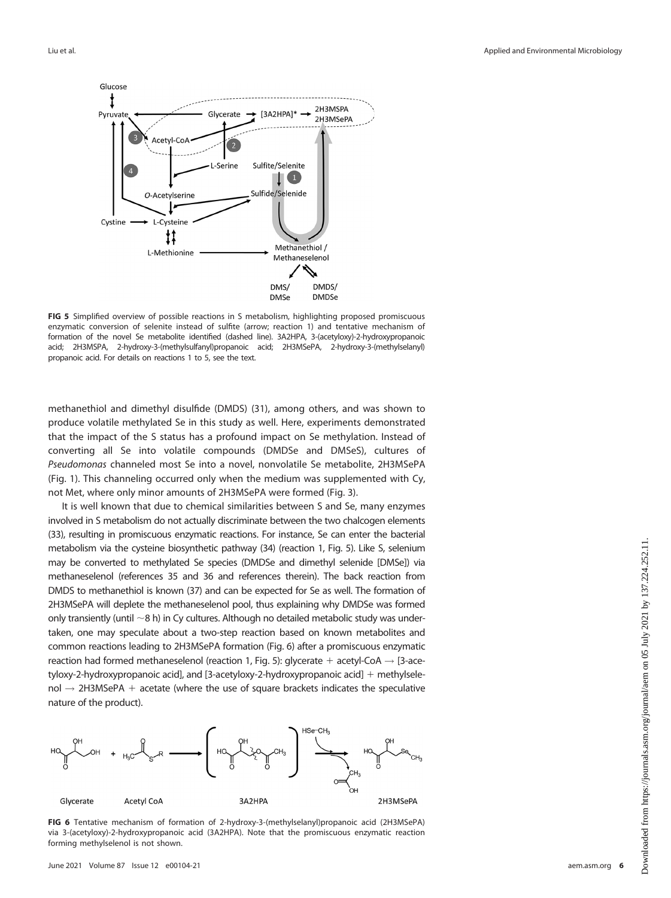

<span id="page-5-0"></span>FIG 5 Simplified overview of possible reactions in S metabolism, highlighting proposed promiscuous enzymatic conversion of selenite instead of sulfite (arrow; reaction 1) and tentative mechanism of formation of the novel Se metabolite identified (dashed line). 3A2HPA, 3-(acetyloxy)-2-hydroxypropanoic acid; 2H3MSPA, 2-hydroxy-3-(methylsulfanyl)propanoic acid; 2H3MSePA, 2-hydroxy-3-(methylselanyl) propanoic acid. For details on reactions 1 to 5, see the text.

methanethiol and dimethyl disulfide (DMDS) ([31](#page-9-18)), among others, and was shown to produce volatile methylated Se in this study as well. Here, experiments demonstrated that the impact of the S status has a profound impact on Se methylation. Instead of converting all Se into volatile compounds (DMDSe and DMSeS), cultures of Pseudomonas channeled most Se into a novel, nonvolatile Se metabolite, 2H3MSePA ([Fig. 1](#page-2-0)). This channeling occurred only when the medium was supplemented with Cy, not Met, where only minor amounts of 2H3MSePA were formed ([Fig. 3\)](#page-3-1).

It is well known that due to chemical similarities between S and Se, many enzymes involved in S metabolism do not actually discriminate between the two chalcogen elements [\(33](#page-9-22)), resulting in promiscuous enzymatic reactions. For instance, Se can enter the bacterial metabolism via the cysteine biosynthetic pathway [\(34\)](#page-9-23) (reaction 1, [Fig. 5\)](#page-5-0). Like S, selenium may be converted to methylated Se species (DMDSe and dimethyl selenide [DMSe]) via methaneselenol (references [35](#page-9-24) and [36](#page-9-25) and references therein). The back reaction from DMDS to methanethiol is known [\(37\)](#page-9-26) and can be expected for Se as well. The formation of 2H3MSePA will deplete the methaneselenol pool, thus explaining why DMDSe was formed only transiently (until  $\sim$ 8 h) in Cy cultures. Although no detailed metabolic study was undertaken, one may speculate about a two-step reaction based on known metabolites and common reactions leading to 2H3MSePA formation [\(Fig. 6](#page-5-1)) after a promiscuous enzymatic reaction had formed methaneselenol (reaction 1, [Fig. 5\)](#page-5-0): glycerate + acetyl-CoA  $\rightarrow$  [3-acetyloxy-2-hydroxypropanoic acid], and [3-acetyloxy-2-hydroxypropanoic acid]  $+$  methylsele- $\text{noI} \rightarrow 2H3M\text{SePA} + \text{acetate}$  (where the use of square brackets indicates the speculative nature of the product).



<span id="page-5-1"></span>FIG 6 Tentative mechanism of formation of 2-hydroxy-3-(methylselanyl)propanoic acid (2H3MSePA) via 3-(acetyloxy)-2-hydroxypropanoic acid (3A2HPA). Note that the promiscuous enzymatic reaction forming methylselenol is not shown.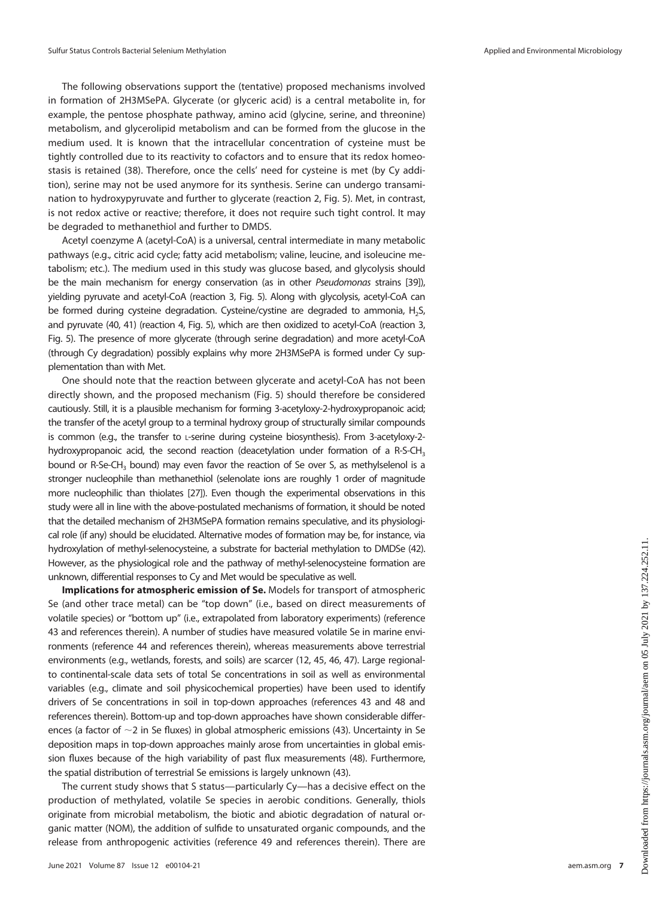The following observations support the (tentative) proposed mechanisms involved in formation of 2H3MSePA. Glycerate (or glyceric acid) is a central metabolite in, for example, the pentose phosphate pathway, amino acid (glycine, serine, and threonine) metabolism, and glycerolipid metabolism and can be formed from the glucose in the medium used. It is known that the intracellular concentration of cysteine must be tightly controlled due to its reactivity to cofactors and to ensure that its redox homeostasis is retained [\(38](#page-9-27)). Therefore, once the cells' need for cysteine is met (by Cy addition), serine may not be used anymore for its synthesis. Serine can undergo transamination to hydroxypyruvate and further to glycerate (reaction 2, [Fig. 5](#page-5-0)). Met, in contrast, is not redox active or reactive; therefore, it does not require such tight control. It may be degraded to methanethiol and further to DMDS.

Acetyl coenzyme A (acetyl-CoA) is a universal, central intermediate in many metabolic pathways (e.g., citric acid cycle; fatty acid metabolism; valine, leucine, and isoleucine metabolism; etc.). The medium used in this study was glucose based, and glycolysis should be the main mechanism for energy conservation (as in other Pseudomonas strains [\[39\]](#page-9-28)), yielding pyruvate and acetyl-CoA (reaction 3, [Fig. 5\)](#page-5-0). Along with glycolysis, acetyl-CoA can be formed during cysteine degradation. Cysteine/cystine are degraded to ammonia, H<sub>2</sub>S, and pyruvate [\(40](#page-9-29), [41\)](#page-9-30) (reaction 4, [Fig. 5\)](#page-5-0), which are then oxidized to acetyl-CoA (reaction 3, [Fig. 5\)](#page-5-0). The presence of more glycerate (through serine degradation) and more acetyl-CoA (through Cy degradation) possibly explains why more 2H3MSePA is formed under Cy supplementation than with Met.

One should note that the reaction between glycerate and acetyl-CoA has not been directly shown, and the proposed mechanism ([Fig. 5\)](#page-5-0) should therefore be considered cautiously. Still, it is a plausible mechanism for forming 3-acetyloxy-2-hydroxypropanoic acid; the transfer of the acetyl group to a terminal hydroxy group of structurally similar compounds is common (e.g., the transfer to L-serine during cysteine biosynthesis). From 3-acetyloxy-2 hydroxypropanoic acid, the second reaction (deacetylation under formation of a R-S-CH<sub>3</sub> bound or R-Se-CH<sub>3</sub> bound) may even favor the reaction of Se over S, as methylselenol is a stronger nucleophile than methanethiol (selenolate ions are roughly 1 order of magnitude more nucleophilic than thiolates [\[27](#page-9-16)]). Even though the experimental observations in this study were all in line with the above-postulated mechanisms of formation, it should be noted that the detailed mechanism of 2H3MSePA formation remains speculative, and its physiological role (if any) should be elucidated. Alternative modes of formation may be, for instance, via hydroxylation of methyl-selenocysteine, a substrate for bacterial methylation to DMDSe [\(42\)](#page-9-31). However, as the physiological role and the pathway of methyl-selenocysteine formation are unknown, differential responses to Cy and Met would be speculative as well.

Implications for atmospheric emission of Se. Models for transport of atmospheric Se (and other trace metal) can be "top down" (i.e., based on direct measurements of volatile species) or "bottom up" (i.e., extrapolated from laboratory experiments) (reference [43](#page-9-32) and references therein). A number of studies have measured volatile Se in marine environments (reference [44](#page-9-33) and references therein), whereas measurements above terrestrial environments (e.g., wetlands, forests, and soils) are scarcer ([12](#page-9-7), [45,](#page-9-34) [46,](#page-9-35) [47](#page-9-36)). Large regionalto continental-scale data sets of total Se concentrations in soil as well as environmental variables (e.g., climate and soil physicochemical properties) have been used to identify drivers of Se concentrations in soil in top-down approaches (references [43](#page-9-32) and [48](#page-10-0) and references therein). Bottom-up and top-down approaches have shown considerable differences (a factor of  $\sim$ 2 in Se fluxes) in global atmospheric emissions [\(43](#page-9-32)). Uncertainty in Se deposition maps in top-down approaches mainly arose from uncertainties in global emission fluxes because of the high variability of past flux measurements [\(48](#page-10-0)). Furthermore, the spatial distribution of terrestrial Se emissions is largely unknown ([43\)](#page-9-32).

The current study shows that S status—particularly Cy—has a decisive effect on the production of methylated, volatile Se species in aerobic conditions. Generally, thiols originate from microbial metabolism, the biotic and abiotic degradation of natural organic matter (NOM), the addition of sulfide to unsaturated organic compounds, and the release from anthropogenic activities (reference [49](#page-10-1) and references therein). There are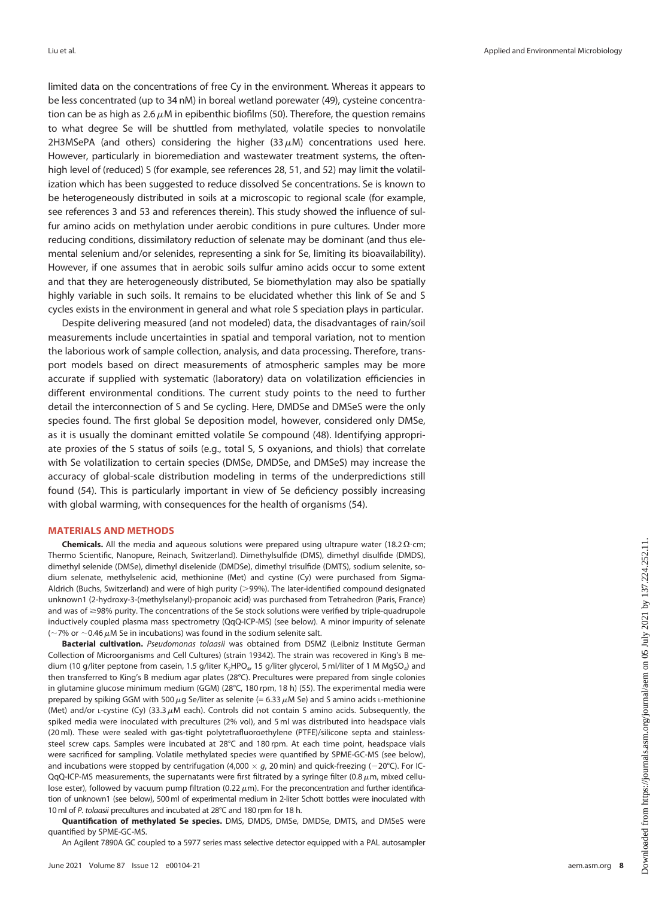limited data on the concentrations of free Cy in the environment. Whereas it appears to be less concentrated (up to 34 nM) in boreal wetland porewater [\(49](#page-10-1)), cysteine concentration can be as high as 2.6  $\mu$ M in epibenthic biofilms [\(50\)](#page-10-2). Therefore, the question remains to what degree Se will be shuttled from methylated, volatile species to nonvolatile 2H3MSePA (and others) considering the higher (33  $\mu$ M) concentrations used here. However, particularly in bioremediation and wastewater treatment systems, the oftenhigh level of (reduced) S (for example, see references [28](#page-9-17), [51](#page-10-3), and [52](#page-10-4)) may limit the volatilization which has been suggested to reduce dissolved Se concentrations. Se is known to be heterogeneously distributed in soils at a microscopic to regional scale (for example, see references [3](#page-8-2) and [53](#page-10-5) and references therein). This study showed the influence of sulfur amino acids on methylation under aerobic conditions in pure cultures. Under more reducing conditions, dissimilatory reduction of selenate may be dominant (and thus elemental selenium and/or selenides, representing a sink for Se, limiting its bioavailability). However, if one assumes that in aerobic soils sulfur amino acids occur to some extent and that they are heterogeneously distributed, Se biomethylation may also be spatially highly variable in such soils. It remains to be elucidated whether this link of Se and S cycles exists in the environment in general and what role S speciation plays in particular.

Despite delivering measured (and not modeled) data, the disadvantages of rain/soil measurements include uncertainties in spatial and temporal variation, not to mention the laborious work of sample collection, analysis, and data processing. Therefore, transport models based on direct measurements of atmospheric samples may be more accurate if supplied with systematic (laboratory) data on volatilization efficiencies in different environmental conditions. The current study points to the need to further detail the interconnection of S and Se cycling. Here, DMDSe and DMSeS were the only species found. The first global Se deposition model, however, considered only DMSe, as it is usually the dominant emitted volatile Se compound [\(48\)](#page-10-0). Identifying appropriate proxies of the S status of soils (e.g., total S, S oxyanions, and thiols) that correlate with Se volatilization to certain species (DMSe, DMDSe, and DMSeS) may increase the accuracy of global-scale distribution modeling in terms of the underpredictions still found ([54\)](#page-10-6). This is particularly important in view of Se deficiency possibly increasing with global warming, with consequences for the health of organisms ([54\)](#page-10-6).

#### MATERIALS AND METHODS

**Chemicals.** All the media and aqueous solutions were prepared using ultrapure water (18.2  $\Omega$ ·cm; Thermo Scientific, Nanopure, Reinach, Switzerland). Dimethylsulfide (DMS), dimethyl disulfide (DMDS), dimethyl selenide (DMSe), dimethyl diselenide (DMDSe), dimethyl trisulfide (DMTS), sodium selenite, sodium selenate, methylselenic acid, methionine (Met) and cystine (Cy) were purchased from Sigma-Aldrich (Buchs, Switzerland) and were of high purity (>99%). The later-identified compound designated unknown1 (2-hydroxy-3-(methylselanyl)-propanoic acid) was purchased from Tetrahedron (Paris, France) and was of  $\geq$ 98% purity. The concentrations of the Se stock solutions were verified by triple-quadrupole inductively coupled plasma mass spectrometry (QqQ-ICP-MS) (see below). A minor impurity of selenate ( $\sim$ 7% or  $\sim$ 0.46  $\mu$ M Se in incubations) was found in the sodium selenite salt.

Bacterial cultivation. Pseudomonas tolaasii was obtained from DSMZ (Leibniz Institute German Collection of Microorganisms and Cell Cultures) (strain 19342). The strain was recovered in King's B medium (10 g/liter peptone from casein, 1.5 g/liter K<sub>2</sub>HPO<sub>4</sub>, 15 g/liter glycerol, 5 ml/liter of 1 M MgSO<sub>4</sub>) and then transferred to King's B medium agar plates (28°C). Precultures were prepared from single colonies in glutamine glucose minimum medium (GGM) (28°C, 180 rpm, 18 h) [\(55\)](#page-10-7). The experimental media were prepared by spiking GGM with 500  $\mu$ g Se/liter as selenite (= 6.33  $\mu$ M Se) and S amino acids L-methionine (Met) and/or  $L$ -cystine (Cy) (33.3  $\mu$ M each). Controls did not contain S amino acids. Subsequently, the spiked media were inoculated with precultures (2% vol), and 5 ml was distributed into headspace vials (20 ml). These were sealed with gas-tight polytetrafluoroethylene (PTFE)/silicone septa and stainlesssteel screw caps. Samples were incubated at 28°C and 180 rpm. At each time point, headspace vials were sacrificed for sampling. Volatile methylated species were quantified by SPME-GC-MS (see below), and incubations were stopped by centrifugation (4,000  $\times$  g, 20 min) and quick-freezing ( $-$ 20°C). For IC-QqQ-ICP-MS measurements, the supernatants were first filtrated by a syringe filter (0.8  $\mu$ m, mixed cellulose ester), followed by vacuum pump filtration (0.22  $\mu$ m). For the preconcentration and further identification of unknown1 (see below), 500ml of experimental medium in 2-liter Schott bottles were inoculated with 10ml of P. tolaasii precultures and incubated at 28°C and 180 rpm for 18 h.

Quantification of methylated Se species. DMS, DMDS, DMSe, DMDSe, DMTS, and DMSeS were quantified by SPME-GC-MS.

An Agilent 7890A GC coupled to a 5977 series mass selective detector equipped with a PAL autosampler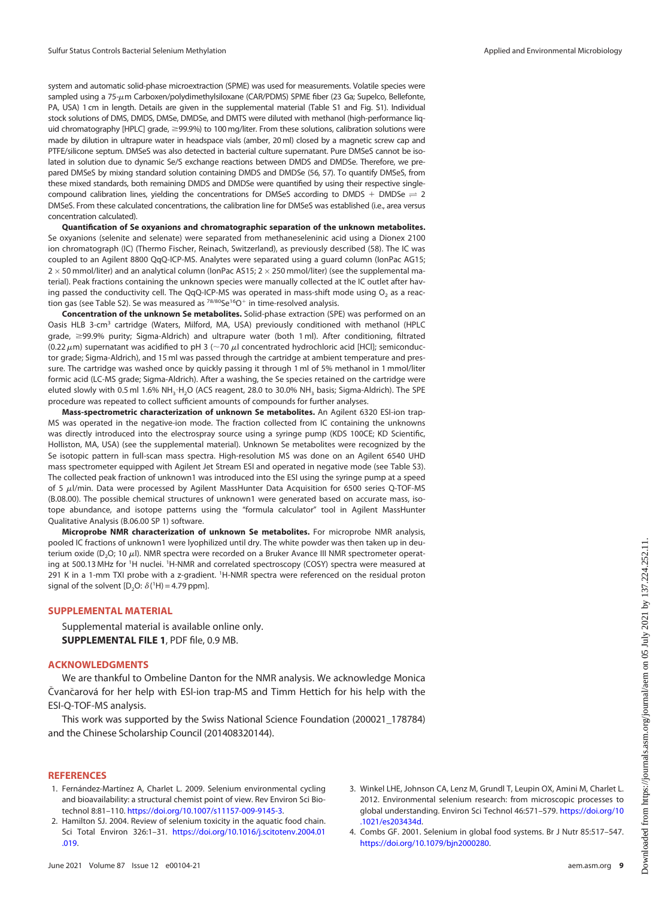system and automatic solid-phase microextraction (SPME) was used for measurements. Volatile species were sampled using a 75-µm Carboxen/polydimethylsiloxane (CAR/PDMS) SPME fiber (23 Ga; Supelco, Bellefonte, PA, USA) 1 cm in length. Details are given in the supplemental material (Table S1 and Fig. S1). Individual stock solutions of DMS, DMDS, DMSe, DMDSe, and DMTS were diluted with methanol (high-performance liquid chromatography [HPLC] grade,  $\geq$ 99.9%) to 100 mg/liter. From these solutions, calibration solutions were made by dilution in ultrapure water in headspace vials (amber, 20 ml) closed by a magnetic screw cap and PTFE/silicone septum. DMSeS was also detected in bacterial culture supernatant. Pure DMSeS cannot be isolated in solution due to dynamic Se/S exchange reactions between DMDS and DMDSe. Therefore, we prepared DMSeS by mixing standard solution containing DMDS and DMDSe [\(56,](#page-10-8) [57\)](#page-10-9). To quantify DMSeS, from these mixed standards, both remaining DMDS and DMDSe were quantified by using their respective singlecompound calibration lines, yielding the concentrations for DMSeS according to DMDS + DMDSe  $\rightleftharpoons$  2 DMSeS. From these calculated concentrations, the calibration line for DMSeS was established (i.e., area versus concentration calculated).

Quantification of Se oxyanions and chromatographic separation of the unknown metabolites. Se oxyanions (selenite and selenate) were separated from methaneseleninic acid using a Dionex 2100 ion chromatograph (IC) (Thermo Fischer, Reinach, Switzerland), as previously described ([58\)](#page-10-10). The IC was coupled to an Agilent 8800 QqQ-ICP-MS. Analytes were separated using a guard column (IonPac AG15;  $2\times$  50 mmol/liter) and an analytical column (IonPac AS15; 2  $\times$  250 mmol/liter) (see the supplemental material). Peak fractions containing the unknown species were manually collected at the IC outlet after having passed the conductivity cell. The QqQ-ICP-MS was operated in mass-shift mode using  $O<sub>2</sub>$  as a reaction gas (see Table S2). Se was measured as  $78/80$ Se<sup>16</sup>O<sup>+</sup> in time-resolved analysis.

Concentration of the unknown Se metabolites. Solid-phase extraction (SPE) was performed on an Oasis HLB 3-cm<sup>3</sup> cartridge (Waters, Milford, MA, USA) previously conditioned with methanol (HPLC grade,  $\geq$ 99.9% purity; Sigma-Aldrich) and ultrapure water (both 1 ml). After conditioning, filtrated (0.22  $\mu$ m) supernatant was acidified to pH 3 ( $\sim$ 70  $\mu$ l concentrated hydrochloric acid [HCl]; semiconductor grade; Sigma-Aldrich), and 15 ml was passed through the cartridge at ambient temperature and pressure. The cartridge was washed once by quickly passing it through 1 ml of 5% methanol in 1 mmol/liter formic acid (LC-MS grade; Sigma-Aldrich). After a washing, the Se species retained on the cartridge were eluted slowly with 0.5 ml 1.6% NH<sub>3</sub>·H<sub>2</sub>O (ACS reagent, 28.0 to 30.0% NH<sub>3</sub> basis; Sigma-Aldrich). The SPE procedure was repeated to collect sufficient amounts of compounds for further analyses.

Mass-spectrometric characterization of unknown Se metabolites. An Agilent 6320 ESI-ion trap-MS was operated in the negative-ion mode. The fraction collected from IC containing the unknowns was directly introduced into the electrospray source using a syringe pump (KDS 100CE; KD Scientific, Holliston, MA, USA) (see the supplemental material). Unknown Se metabolites were recognized by the Se isotopic pattern in full-scan mass spectra. High-resolution MS was done on an Agilent 6540 UHD mass spectrometer equipped with Agilent Jet Stream ESI and operated in negative mode (see Table S3). The collected peak fraction of unknown1 was introduced into the ESI using the syringe pump at a speed of 5  $\mu$ l/min. Data were processed by Agilent MassHunter Data Acquisition for 6500 series Q-TOF-MS (B.08.00). The possible chemical structures of unknown1 were generated based on accurate mass, isotope abundance, and isotope patterns using the "formula calculator" tool in Agilent MassHunter Qualitative Analysis (B.06.00 SP 1) software.

Microprobe NMR characterization of unknown Se metabolites. For microprobe NMR analysis, pooled IC fractions of unknown1 were lyophilized until dry. The white powder was then taken up in deuterium oxide (D<sub>2</sub>O; 10  $\mu$ l). NMR spectra were recorded on a Bruker Avance III NMR spectrometer operating at 500.13 MHz for <sup>1</sup>H nuclei. <sup>1</sup>H-NMR and correlated spectroscopy (COSY) spectra were measured at 291 K in a 1-mm TXI probe with a z-gradient. <sup>1</sup>H-NMR spectra were referenced on the residual proton signal of the solvent  $[D_2O: \delta(^1H) = 4.79$  ppm].

### SUPPLEMENTAL MATERIAL

Supplemental material is available online only. SUPPLEMENTAL FILE 1, PDF file, 0.9 MB.

#### ACKNOWLEDGMENTS

We are thankful to Ombeline Danton for the NMR analysis. We acknowledge Monica Čvančarová for her help with ESI-ion trap-MS and Timm Hettich for his help with the ESI-Q-TOF-MS analysis.

This work was supported by the Swiss National Science Foundation (200021\_178784) and the Chinese Scholarship Council (201408320144).

## **REFERENCES**

- <span id="page-8-0"></span>1. Fernández-Martínez A, Charlet L. 2009. Selenium environmental cycling and bioavailability: a structural chemist point of view. Rev Environ Sci Biotechnol 8:81–110. <https://doi.org/10.1007/s11157-009-9145-3>.
- <span id="page-8-1"></span>2. Hamilton SJ. 2004. Review of selenium toxicity in the aquatic food chain. Sci Total Environ 326:1–31. [https://doi.org/10.1016/j.scitotenv.2004.01](https://doi.org/10.1016/j.scitotenv.2004.01.019) [.019](https://doi.org/10.1016/j.scitotenv.2004.01.019).
- June 2021 Volume 87 Issue 12 e00104-21 [aem.asm.org](https://aem.asm.org) 9
- <span id="page-8-2"></span>3. Winkel LHE, Johnson CA, Lenz M, Grundl T, Leupin OX, Amini M, Charlet L. 2012. Environmental selenium research: from microscopic processes to global understanding. Environ Sci Technol 46:571–579. [https://doi.org/10](https://doi.org/10.1021/es203434d) [.1021/es203434d.](https://doi.org/10.1021/es203434d)
- <span id="page-8-3"></span>4. Combs GF. 2001. Selenium in global food systems. Br J Nutr 85:517–547. [https://doi.org/10.1079/bjn2000280.](https://doi.org/10.1079/bjn2000280)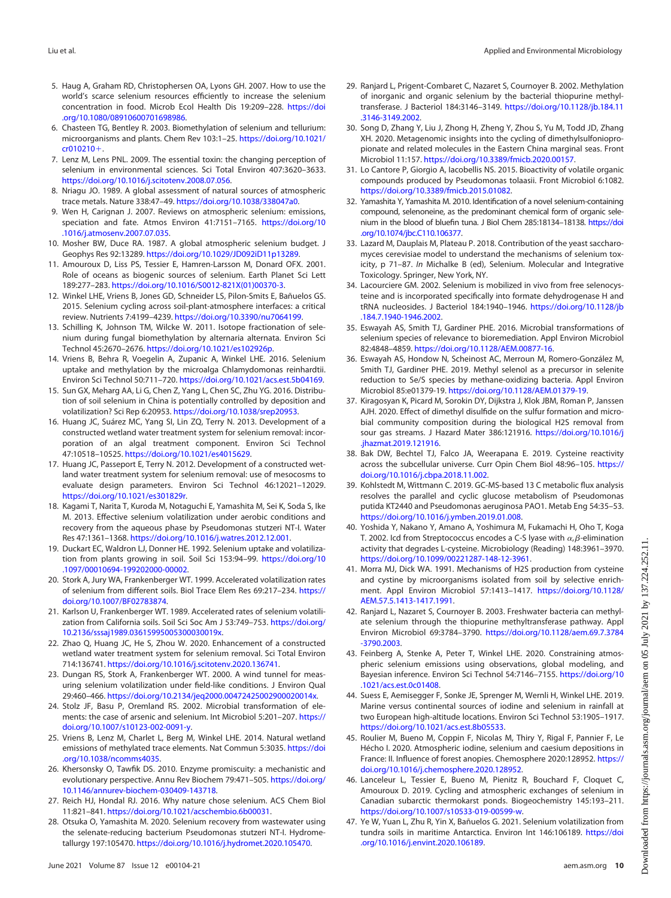- <span id="page-9-0"></span>5. Haug A, Graham RD, Christophersen OA, Lyons GH. 2007. How to use the world's scarce selenium resources efficiently to increase the selenium concentration in food. Microb Ecol Health Dis 19:209–228. [https://doi](https://doi.org/10.1080/08910600701698986) [.org/10.1080/08910600701698986.](https://doi.org/10.1080/08910600701698986)
- <span id="page-9-1"></span>6. Chasteen TG, Bentley R. 2003. Biomethylation of selenium and tellurium: microorganisms and plants. Chem Rev 103:1–25. [https://doi.org/10.1021/](https://doi.org/10.1021/cr010210&hx002B;)  $cr010210+$  $cr010210+$ .
- <span id="page-9-2"></span>7. Lenz M, Lens PNL. 2009. The essential toxin: the changing perception of selenium in environmental sciences. Sci Total Environ 407:3620–3633. [https://doi.org/10.1016/j.scitotenv.2008.07.056.](https://doi.org/10.1016/j.scitotenv.2008.07.056)
- <span id="page-9-3"></span>8. Nriagu JO. 1989. A global assessment of natural sources of atmospheric trace metals. Nature 338:47–49. [https://doi.org/10.1038/338047a0.](https://doi.org/10.1038/338047a0)
- <span id="page-9-4"></span>9. Wen H, Carignan J. 2007. Reviews on atmospheric selenium: emissions, speciation and fate. Atmos Environ 41:7151-7165. [https://doi.org/10](https://doi.org/10.1016/j.atmosenv.2007.07.035) [.1016/j.atmosenv.2007.07.035](https://doi.org/10.1016/j.atmosenv.2007.07.035).
- <span id="page-9-5"></span>10. Mosher BW, Duce RA. 1987. A global atmospheric selenium budget. J Geophys Res 92:13289. <https://doi.org/10.1029/JD092iD11p13289>.
- <span id="page-9-6"></span>11. Amouroux D, Liss PS, Tessier E, Hamren-Larsson M, Donard OFX. 2001. Role of oceans as biogenic sources of selenium. Earth Planet Sci Lett 189:277–283. [https://doi.org/10.1016/S0012-821X\(01\)00370-3](https://doi.org/10.1016/S0012-821X(01)00370-3).
- <span id="page-9-7"></span>12. Winkel LHE, Vriens B, Jones GD, Schneider LS, Pilon-Smits E, Bañuelos GS. 2015. Selenium cycling across soil-plant-atmosphere interfaces: a critical review. Nutrients 7:4199–4239. [https://doi.org/10.3390/nu7064199.](https://doi.org/10.3390/nu7064199)
- <span id="page-9-8"></span>13. Schilling K, Johnson TM, Wilcke W. 2011. Isotope fractionation of selenium during fungal biomethylation by alternaria alternata. Environ Sci Technol 45:2670–2676. <https://doi.org/10.1021/es102926p>.
- <span id="page-9-9"></span>14. Vriens B, Behra R, Voegelin A, Zupanic A, Winkel LHE. 2016. Selenium uptake and methylation by the microalga Chlamydomonas reinhardtii. Environ Sci Technol 50:711–720. <https://doi.org/10.1021/acs.est.5b04169>.
- <span id="page-9-10"></span>15. Sun GX, Meharg AA, Li G, Chen Z, Yang L, Chen SC, Zhu YG. 2016. Distribution of soil selenium in China is potentially controlled by deposition and volatilization? Sci Rep 6:20953. <https://doi.org/10.1038/srep20953>.
- <span id="page-9-11"></span>16. Huang JC, Suárez MC, Yang SI, Lin ZQ, Terry N. 2013. Development of a constructed wetland water treatment system for selenium removal: incorporation of an algal treatment component. Environ Sci Technol 47:10518–10525. [https://doi.org/10.1021/es4015629.](https://doi.org/10.1021/es4015629)
- 17. Huang JC, Passeport E, Terry N. 2012. Development of a constructed wetland water treatment system for selenium removal: use of mesocosms to evaluate design parameters. Environ Sci Technol 46:12021–12029. [https://doi.org/10.1021/es301829r.](https://doi.org/10.1021/es301829r)
- 18. Kagami T, Narita T, Kuroda M, Notaguchi E, Yamashita M, Sei K, Soda S, Ike M. 2013. Effective selenium volatilization under aerobic conditions and recovery from the aqueous phase by Pseudomonas stutzeri NT-I. Water Res 47:1361–1368. [https://doi.org/10.1016/j.watres.2012.12.001.](https://doi.org/10.1016/j.watres.2012.12.001)
- 19. Duckart EC, Waldron LJ, Donner HE. 1992. Selenium uptake and volatilization from plants growing in soil. Soil Sci 153:94–99. [https://doi.org/10](https://doi.org/10.1097/00010694-199202000-00002) [.1097/00010694-199202000-00002](https://doi.org/10.1097/00010694-199202000-00002).
- 20. Stork A, Jury WA, Frankenberger WT. 1999. Accelerated volatilization rates of selenium from different soils. Biol Trace Elem Res 69:217–234. [https://](https://doi.org/10.1007/BF02783874) [doi.org/10.1007/BF02783874](https://doi.org/10.1007/BF02783874).
- 21. Karlson U, Frankenberger WT. 1989. Accelerated rates of selenium volatilization from California soils. Soil Sci Soc Am J 53:749–753. [https://doi.org/](https://doi.org/10.2136/sssaj1989.03615995005300030019x) [10.2136/sssaj1989.03615995005300030019x](https://doi.org/10.2136/sssaj1989.03615995005300030019x).
- 22. Zhao Q, Huang JC, He S, Zhou W. 2020. Enhancement of a constructed wetland water treatment system for selenium removal. Sci Total Environ 714:136741. [https://doi.org/10.1016/j.scitotenv.2020.136741.](https://doi.org/10.1016/j.scitotenv.2020.136741)
- <span id="page-9-12"></span>23. Dungan RS, Stork A, Frankenberger WT. 2000. A wind tunnel for measuring selenium volatilization under field-like conditions. J Environ Qual 29:460–466. <https://doi.org/10.2134/jeq2000.00472425002900020014x>.
- <span id="page-9-13"></span>24. Stolz JF, Basu P, Oremland RS. 2002. Microbial transformation of elements: the case of arsenic and selenium. Int Microbiol 5:201–207. [https://](https://doi.org/10.1007/s10123-002-0091-y) [doi.org/10.1007/s10123-002-0091-y](https://doi.org/10.1007/s10123-002-0091-y).
- <span id="page-9-14"></span>25. Vriens B, Lenz M, Charlet L, Berg M, Winkel LHE. 2014. Natural wetland emissions of methylated trace elements. Nat Commun 5:3035. [https://doi](https://doi.org/10.1038/ncomms4035) [.org/10.1038/ncomms4035](https://doi.org/10.1038/ncomms4035).
- <span id="page-9-15"></span>26. Khersonsky O, Tawfik DS. 2010. Enzyme promiscuity: a mechanistic and evolutionary perspective. Annu Rev Biochem 79:471-505. [https://doi.org/](https://doi.org/10.1146/annurev-biochem-030409-143718) [10.1146/annurev-biochem-030409-143718](https://doi.org/10.1146/annurev-biochem-030409-143718).
- <span id="page-9-16"></span>27. Reich HJ, Hondal RJ. 2016. Why nature chose selenium. ACS Chem Biol 11:821–841. <https://doi.org/10.1021/acschembio.6b00031>.
- <span id="page-9-17"></span>28. Otsuka O, Yamashita M. 2020. Selenium recovery from wastewater using the selenate-reducing bacterium Pseudomonas stutzeri NT-I. Hydrometallurgy 197:105470. [https://doi.org/10.1016/j.hydromet.2020.105470.](https://doi.org/10.1016/j.hydromet.2020.105470)
- <span id="page-9-20"></span>29. Ranjard L, Prigent-Combaret C, Nazaret S, Cournoyer B. 2002. Methylation of inorganic and organic selenium by the bacterial thiopurine methyltransferase. J Bacteriol 184:3146–3149. [https://doi.org/10.1128/jb.184.11](https://doi.org/10.1128/jb.184.11.3146-3149.2002) [.3146-3149.2002.](https://doi.org/10.1128/jb.184.11.3146-3149.2002)
- <span id="page-9-21"></span>30. Song D, Zhang Y, Liu J, Zhong H, Zheng Y, Zhou S, Yu M, Todd JD, Zhang XH. 2020. Metagenomic insights into the cycling of dimethylsulfoniopropionate and related molecules in the Eastern China marginal seas. Front Microbiol 11:157. <https://doi.org/10.3389/fmicb.2020.00157>.
- <span id="page-9-18"></span>31. Lo Cantore P, Giorgio A, Iacobellis NS. 2015. Bioactivity of volatile organic compounds produced by Pseudomonas tolaasii. Front Microbiol 6:1082. <https://doi.org/10.3389/fmicb.2015.01082>.
- <span id="page-9-19"></span>32. Yamashita Y, Yamashita M. 2010. Identification of a novel selenium-containing compound, selenoneine, as the predominant chemical form of organic selenium in the blood of bluefin tuna. J Biol Chem 285:18134–18138. [https://doi](https://doi.org/10.1074/jbc.C110.106377) [.org/10.1074/jbc.C110.106377.](https://doi.org/10.1074/jbc.C110.106377)
- <span id="page-9-22"></span>33. Lazard M, Dauplais M, Plateau P. 2018. Contribution of the yeast saccharomyces cerevisiae model to understand the mechanisms of selenium toxicity, p 71–87. In Michalke B (ed), Selenium. Molecular and Integrative Toxicology. Springer, New York, NY.
- <span id="page-9-23"></span>34. Lacourciere GM. 2002. Selenium is mobilized in vivo from free selenocysteine and is incorporated specifically into formate dehydrogenase H and tRNA nucleosides. J Bacteriol 184:1940–1946. [https://doi.org/10.1128/jb](https://doi.org/10.1128/jb.184.7.1940-1946.2002) [.184.7.1940-1946.2002](https://doi.org/10.1128/jb.184.7.1940-1946.2002).
- <span id="page-9-24"></span>35. Eswayah AS, Smith TJ, Gardiner PHE. 2016. Microbial transformations of selenium species of relevance to bioremediation. Appl Environ Microbiol 82:4848–4859. [https://doi.org/10.1128/AEM.00877-16.](https://doi.org/10.1128/AEM.00877-16)
- <span id="page-9-25"></span>36. Eswayah AS, Hondow N, Scheinost AC, Merroun M, Romero-González M, Smith TJ, Gardiner PHE. 2019. Methyl selenol as a precursor in selenite reduction to Se/S species by methane-oxidizing bacteria. Appl Environ Microbiol 85:e01379-19. <https://doi.org/10.1128/AEM.01379-19>.
- <span id="page-9-26"></span>37. Kiragosyan K, Picard M, Sorokin DY, Dijkstra J, Klok JBM, Roman P, Janssen AJH. 2020. Effect of dimethyl disulfide on the sulfur formation and microbial community composition during the biological H2S removal from sour gas streams. J Hazard Mater 386:121916. [https://doi.org/10.1016/j](https://doi.org/10.1016/j.jhazmat.2019.121916) [.jhazmat.2019.121916.](https://doi.org/10.1016/j.jhazmat.2019.121916)
- <span id="page-9-27"></span>38. Bak DW, Bechtel TJ, Falco JA, Weerapana E. 2019. Cysteine reactivity across the subcellular universe. Curr Opin Chem Biol 48:96–105. [https://](https://doi.org/10.1016/j.cbpa.2018.11.002) [doi.org/10.1016/j.cbpa.2018.11.002.](https://doi.org/10.1016/j.cbpa.2018.11.002)
- <span id="page-9-28"></span>39. Kohlstedt M, Wittmann C. 2019. GC-MS-based 13 C metabolic flux analysis resolves the parallel and cyclic glucose metabolism of Pseudomonas putida KT2440 and Pseudomonas aeruginosa PAO1. Metab Eng 54:35–53. <https://doi.org/10.1016/j.ymben.2019.01.008>.
- <span id="page-9-29"></span>40. Yoshida Y, Nakano Y, Amano A, Yoshimura M, Fukamachi H, Oho T, Koga T. 2002. Icd from Streptococcus encodes a C-S lyase with  $\alpha$ , $\beta$ -elimination activity that degrades L-cysteine. Microbiology (Reading) 148:3961–3970. [https://doi.org/10.1099/00221287-148-12-3961.](https://doi.org/10.1099/00221287-148-12-3961)
- <span id="page-9-30"></span>41. Morra MJ, Dick WA. 1991. Mechanisms of H2S production from cysteine and cystine by microorganisms isolated from soil by selective enrichment. Appl Environ Microbiol 57:1413–1417. [https://doi.org/10.1128/](https://doi.org/10.1128/AEM.57.5.1413-1417.1991) [AEM.57.5.1413-1417.1991.](https://doi.org/10.1128/AEM.57.5.1413-1417.1991)
- <span id="page-9-31"></span>42. Ranjard L, Nazaret S, Cournoyer B. 2003. Freshwater bacteria can methylate selenium through the thiopurine methyltransferase pathway. Appl Environ Microbiol 69:3784–3790. [https://doi.org/10.1128/aem.69.7.3784](https://doi.org/10.1128/aem.69.7.3784-3790.2003) [-3790.2003](https://doi.org/10.1128/aem.69.7.3784-3790.2003).
- <span id="page-9-32"></span>43. Feinberg A, Stenke A, Peter T, Winkel LHE. 2020. Constraining atmospheric selenium emissions using observations, global modeling, and Bayesian inference. Environ Sci Technol 54:7146–7155. [https://doi.org/10](https://doi.org/10.1021/acs.est.0c01408) [.1021/acs.est.0c01408.](https://doi.org/10.1021/acs.est.0c01408)
- <span id="page-9-33"></span>44. Suess E, Aemisegger F, Sonke JE, Sprenger M, Wernli H, Winkel LHE. 2019. Marine versus continental sources of iodine and selenium in rainfall at two European high-altitude locations. Environ Sci Technol 53:1905–1917. <https://doi.org/10.1021/acs.est.8b05533>.
- <span id="page-9-34"></span>45. Roulier M, Bueno M, Coppin F, Nicolas M, Thiry Y, Rigal F, Pannier F, Le Hécho I. 2020. Atmospheric iodine, selenium and caesium depositions in France: II. Influence of forest anopies. Chemosphere 2020:128952. [https://](https://doi.org/10.1016/j.chemosphere.2020.128952) [doi.org/10.1016/j.chemosphere.2020.128952.](https://doi.org/10.1016/j.chemosphere.2020.128952)
- <span id="page-9-35"></span>46. Lanceleur L, Tessier E, Bueno M, Pienitz R, Bouchard F, Cloquet C, Amouroux D. 2019. Cycling and atmospheric exchanges of selenium in Canadian subarctic thermokarst ponds. Biogeochemistry 145:193–211. <https://doi.org/10.1007/s10533-019-00599-w>.
- <span id="page-9-36"></span>47. Ye W, Yuan L, Zhu R, Yin X, Bañuelos G. 2021. Selenium volatilization from tundra soils in maritime Antarctica. Environ Int 146:106189. [https://doi](https://doi.org/10.1016/j.envint.2020.106189) [.org/10.1016/j.envint.2020.106189](https://doi.org/10.1016/j.envint.2020.106189).